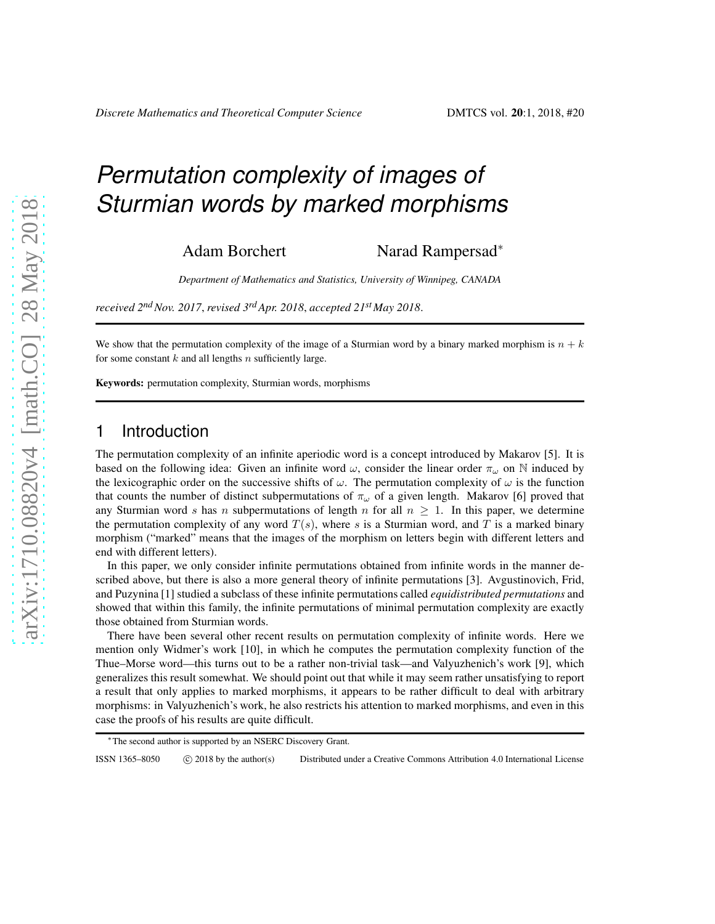# *Permutation complexity of images of Sturmian words by marked morphisms*

Adam Borchert Narad Rampersad<sup>∗</sup>

*Department of Mathematics and Statistics, University of Winnipeg, CANADA*

*received 2ndNov. 2017*, *revised 3rdApr. 2018*, *accepted 21st May 2018*.

We show that the permutation complexity of the image of a Sturmian word by a binary marked morphism is  $n + k$ for some constant  $k$  and all lengths  $n$  sufficiently large.

Keywords: permutation complexity, Sturmian words, morphisms

# 1 Introduction

The permutation complexity of an infinite aperiodic word is a concept introduced by Makarov [5]. It is based on the following idea: Given an infinite word  $\omega$ , consider the linear order  $\pi_{\omega}$  on N induced by the lexicographic order on the successive shifts of  $\omega$ . The permutation complexity of  $\omega$  is the function that counts the number of distinct subpermutations of  $\pi_{\omega}$  of a given length. Makarov [6] proved that any Sturmian word s has n subpermutations of length n for all  $n \geq 1$ . In this paper, we determine the permutation complexity of any word  $T(s)$ , where s is a Sturmian word, and T is a marked binary morphism ("marked" means that the images of the morphism on letters begin with different letters and end with different letters).

In this paper, we only consider infinite permutations obtained from infinite words in the manner described above, but there is also a more general theory of infinite permutations [3]. Avgustinovich, Frid, and Puzynina [1] studied a subclass of these infinite permutations called *equidistributed permutations* and showed that within this family, the infinite permutations of minimal permutation complexity are exactly those obtained from Sturmian words.

There have been several other recent results on permutation complexity of infinite words. Here we mention only Widmer's work [10], in which he computes the permutation complexity function of the Thue–Morse word—this turns out to be a rather non-trivial task—and Valyuzhenich's work [9], which generalizes this result somewhat. We should point out that while it may seem rather unsatisfying to report a result that only applies to marked morphisms, it appears to be rather difficult to deal with arbitrary morphisms: in Valyuzhenich's work, he also restricts his attention to marked morphisms, and even in this case the proofs of his results are quite difficult.

ISSN 1365–8050 (C) 2018 by the author(s) Distributed under a Creative Commons Attribution 4.0 International License

<sup>∗</sup>The second author is supported by an NSERC Discovery Grant.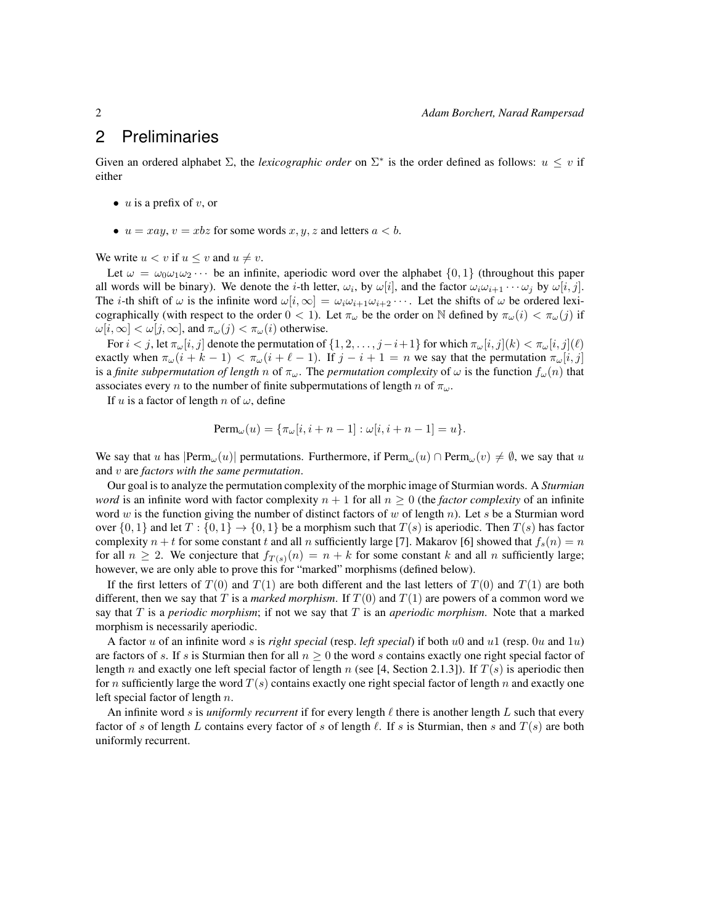# 2 Preliminaries

Given an ordered alphabet  $\Sigma$ , the *lexicographic order* on  $\Sigma^*$  is the order defined as follows:  $u \leq v$  if either

- $u$  is a prefix of  $v$ , or
- $u = xay$ ,  $v = xbz$  for some words  $x, y, z$  and letters  $a < b$ .

We write  $u < v$  if  $u \le v$  and  $u \ne v$ .

Let  $\omega = \omega_0 \omega_1 \omega_2 \cdots$  be an infinite, aperiodic word over the alphabet  $\{0, 1\}$  (throughout this paper all words will be binary). We denote the *i*-th letter,  $\omega_i$ , by  $\omega[i]$ , and the factor  $\omega_i\omega_{i+1}\cdots\omega_j$  by  $\omega[i,j]$ . The *i*-th shift of  $\omega$  is the infinite word  $\omega[i, \infty] = \omega_i \omega_{i+1} \omega_{i+2} \cdots$ . Let the shifts of  $\omega$  be ordered lexicographically (with respect to the order  $0 < 1$ ). Let  $\pi_{\omega}$  be the order on N defined by  $\pi_{\omega}(i) < \pi_{\omega}(j)$  if  $\omega[i,\infty] < \omega[j,\infty]$ , and  $\pi_{\omega}(j) < \pi_{\omega}(i)$  otherwise.

For  $i < j$ , let  $\pi_{\omega}[i, j]$  denote the permutation of  $\{1, 2, \ldots, j-i+1\}$  for which  $\pi_{\omega}[i, j](k) < \pi_{\omega}[i, j](\ell)$ exactly when  $\pi_{\omega}(i + k - 1) < \pi_{\omega}(i + \ell - 1)$ . If  $j - i + 1 = n$  we say that the permutation  $\pi_{\omega}[i, j]$ is a *finite subpermutation of length* n of  $\pi_{\omega}$ . The *permutation complexity* of  $\omega$  is the function  $f_{\omega}(n)$  that associates every *n* to the number of finite subpermutations of length *n* of  $\pi_{\omega}$ .

If u is a factor of length n of  $\omega$ , define

$$
\text{Perm}_{\omega}(u) = \{\pi_{\omega}[i, i+n-1] : \omega[i, i+n-1] = u\}.
$$

We say that u has  $\text{Perm}_{\omega}(u)$  permutations. Furthermore, if  $\text{Perm}_{\omega}(u) \cap \text{Perm}_{\omega}(v) \neq \emptyset$ , we say that u and v are *factors with the same permutation*.

Our goal is to analyze the permutation complexity of the morphic image of Sturmian words. A *Sturmian word* is an infinite word with factor complexity  $n + 1$  for all  $n \geq 0$  (the *factor complexity* of an infinite word w is the function giving the number of distinct factors of w of length n). Let s be a Sturmian word over  $\{0,1\}$  and let  $T: \{0,1\} \rightarrow \{0,1\}$  be a morphism such that  $T(s)$  is aperiodic. Then  $T(s)$  has factor complexity  $n + t$  for some constant t and all n sufficiently large [7]. Makarov [6] showed that  $f_s(n) = n$ for all  $n \ge 2$ . We conjecture that  $f_{T(s)}(n) = n + k$  for some constant k and all n sufficiently large; however, we are only able to prove this for "marked" morphisms (defined below).

If the first letters of  $T(0)$  and  $T(1)$  are both different and the last letters of  $T(0)$  and  $T(1)$  are both different, then we say that T is a *marked morphism*. If  $T(0)$  and  $T(1)$  are powers of a common word we say that T is a *periodic morphism*; if not we say that T is an *aperiodic morphism*. Note that a marked morphism is necessarily aperiodic.

A factor u of an infinite word s is *right special* (resp. *left special*) if both u0 and u1 (resp. 0u and 1u) are factors of s. If s is Sturmian then for all  $n \geq 0$  the word s contains exactly one right special factor of length n and exactly one left special factor of length n (see [4, Section 2.1.3]). If  $T(s)$  is aperiodic then for n sufficiently large the word  $T(s)$  contains exactly one right special factor of length n and exactly one left special factor of length  $n$ .

An infinite word s is *uniformly recurrent* if for every length  $\ell$  there is another length  $L$  such that every factor of s of length L contains every factor of s of length  $\ell$ . If s is Sturmian, then s and  $T(s)$  are both uniformly recurrent.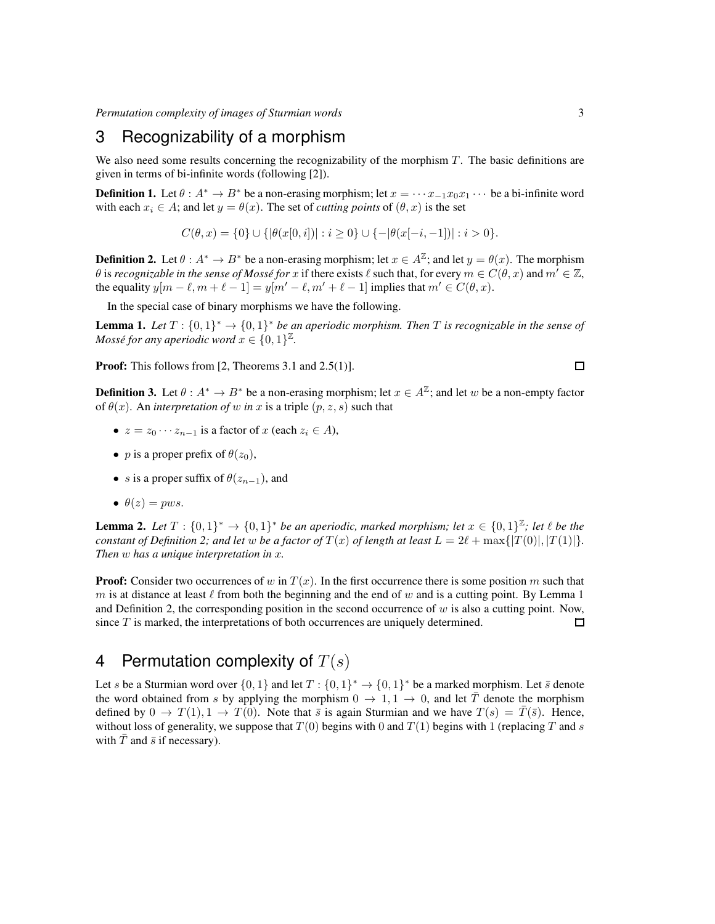*Permutation complexity of images of Sturmian words* 3

# 3 Recognizability of a morphism

We also need some results concerning the recognizability of the morphism  $T$ . The basic definitions are given in terms of bi-infinite words (following [2]).

**Definition 1.** Let  $\theta : A^* \to B^*$  be a non-erasing morphism; let  $x = \cdots x_{-1}x_0x_1 \cdots$  be a bi-infinite word with each  $x_i \in A$ ; and let  $y = \theta(x)$ . The set of *cutting points* of  $(\theta, x)$  is the set

$$
C(\theta, x) = \{0\} \cup \{ |\theta(x[0, i])| : i \ge 0 \} \cup \{ - |\theta(x[-i, -1])| : i > 0 \}.
$$

**Definition 2.** Let  $\theta : A^* \to B^*$  be a non-erasing morphism; let  $x \in A^{\mathbb{Z}}$ ; and let  $y = \theta(x)$ . The morphism  $\theta$  is *recognizable in the sense of Mossé for*  $x$  if there exists  $\ell$  such that, for every  $m \in C(\theta, x)$  and  $m' \in \mathbb{Z}$ , the equality  $y[m - \ell, m + \ell - 1] = y[m' - \ell, m' + \ell - 1]$  implies that  $m' \in C(\theta, x)$ .

In the special case of binary morphisms we have the following.

**Lemma 1.** Let  $T : \{0,1\}^* \to \{0,1\}^*$  be an aperiodic morphism. Then T is recognizable in the sense of *Mossé for any aperiodic word*  $x \in \{0,1\}^{\mathbb{Z}}$ .

Proof: This follows from [2, Theorems 3.1 and 2.5(1)].

**Definition 3.** Let  $\theta: A^* \to B^*$  be a non-erasing morphism; let  $x \in A^{\mathbb{Z}}$ ; and let w be a non-empty factor of  $\theta(x)$ . An *interpretation of* w *in* x is a triple  $(p, z, s)$  such that

- $z = z_0 \cdots z_{n-1}$  is a factor of  $x$  (each  $z_i \in A$ ),
- *p* is a proper prefix of  $\theta(z_0)$ ,
- s is a proper suffix of  $\theta(z_{n-1})$ , and
- $\theta(z) = pws$ .

**Lemma 2.** Let  $T : \{0,1\}^* \to \{0,1\}^*$  be an aperiodic, marked morphism; let  $x \in \{0,1\}^{\mathbb{Z}}$ ; let  $\ell$  be the *constant of Definition 2; and let* w *be a factor of*  $T(x)$  *of length at least*  $L = 2\ell + \max\{|T(0)|, |T(1)|\}$ *. Then* w *has a unique interpretation in* x*.*

**Proof:** Consider two occurrences of w in  $T(x)$ . In the first occurrence there is some position m such that m is at distance at least  $\ell$  from both the beginning and the end of w and is a cutting point. By Lemma 1 and Definition 2, the corresponding position in the second occurrence of  $w$  is also a cutting point. Now, since  $T$  is marked, the interpretations of both occurrences are uniquely determined.  $\Box$ 

# 4 Permutation complexity of  $T(s)$

Let s be a Sturmian word over  $\{0,1\}$  and let  $T:\{0,1\}^* \to \{0,1\}^*$  be a marked morphism. Let  $\bar{s}$  denote the word obtained from s by applying the morphism  $0 \to 1, 1 \to 0$ , and let T denote the morphism defined by  $0 \to T(1), 1 \to T(0)$ . Note that  $\bar{s}$  is again Sturmian and we have  $T(s) = T(\bar{s})$ . Hence, without loss of generality, we suppose that  $T(0)$  begins with 0 and  $T(1)$  begins with 1 (replacing T and s with  $T$  and  $\bar{s}$  if necessary).

 $\Box$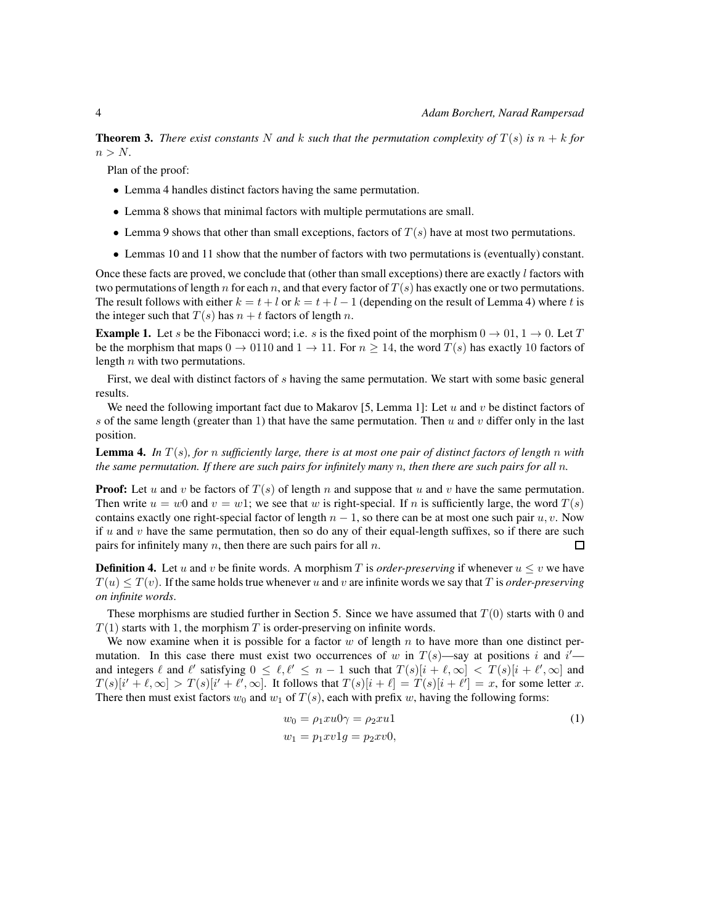**Theorem 3.** There exist constants N and k such that the permutation complexity of  $T(s)$  is  $n + k$  for  $n > N$ .

Plan of the proof:

- Lemma 4 handles distinct factors having the same permutation.
- Lemma 8 shows that minimal factors with multiple permutations are small.
- Lemma 9 shows that other than small exceptions, factors of  $T(s)$  have at most two permutations.
- Lemmas 10 and 11 show that the number of factors with two permutations is (eventually) constant.

Once these facts are proved, we conclude that (other than small exceptions) there are exactly  $l$  factors with two permutations of length n for each n, and that every factor of  $T(s)$  has exactly one or two permutations. The result follows with either  $k = t + l$  or  $k = t + l - 1$  (depending on the result of Lemma 4) where t is the integer such that  $T(s)$  has  $n + t$  factors of length n.

**Example 1.** Let s be the Fibonacci word; i.e. s is the fixed point of the morphism  $0 \rightarrow 01$ ,  $1 \rightarrow 0$ . Let T be the morphism that maps  $0 \to 0110$  and  $1 \to 11$ . For  $n \ge 14$ , the word  $T(s)$  has exactly 10 factors of length  $n$  with two permutations.

First, we deal with distinct factors of s having the same permutation. We start with some basic general results.

We need the following important fact due to Makarov [5, Lemma 1]: Let u and v be distinct factors of s of the same length (greater than 1) that have the same permutation. Then u and v differ only in the last position.

Lemma 4. *In* T (s)*, for* n *sufficiently large, there is at most one pair of distinct factors of length* n *with the same permutation. If there are such pairs for infinitely many* n*, then there are such pairs for all* n*.*

**Proof:** Let u and v be factors of  $T(s)$  of length n and suppose that u and v have the same permutation. Then write  $u = w0$  and  $v = w1$ ; we see that w is right-special. If n is sufficiently large, the word  $T(s)$ contains exactly one right-special factor of length  $n - 1$ , so there can be at most one such pair  $u, v$ . Now if  $u$  and  $v$  have the same permutation, then so do any of their equal-length suffixes, so if there are such pairs for infinitely many  $n$ , then there are such pairs for all  $n$ .  $\square$ 

**Definition 4.** Let u and v be finite words. A morphism T is *order-preserving* if whenever  $u \leq v$  we have  $T(u) \leq T(v)$ . If the same holds true whenever u and v are infinite words we say that T is *order-preserving on infinite words*.

These morphisms are studied further in Section 5. Since we have assumed that  $T(0)$  starts with 0 and  $T(1)$  starts with 1, the morphism T is order-preserving on infinite words.

We now examine when it is possible for a factor  $w$  of length  $n$  to have more than one distinct permutation. In this case there must exist two occurrences of w in  $T(s)$ —say at positions i and  $i'$  and integers  $\ell$  and  $\ell'$  satisfying  $0 \leq \ell, \ell' \leq n-1$  such that  $T(s)[i + \ell, \infty] < T(s)[i + \ell', \infty]$  and  $T(s)[i' + \ell, \infty] > T(s)[i' + \ell', \infty]$ . It follows that  $T(s)[i + \ell] = T(s)[i + \ell'] = x$ , for some letter x. There then must exist factors  $w_0$  and  $w_1$  of  $T(s)$ , each with prefix w, having the following forms:

$$
w_0 = \rho_1 x u 0 \gamma = \rho_2 x u 1
$$
  
\n
$$
w_1 = p_1 x v 1 g = p_2 x v 0,
$$
\n(1)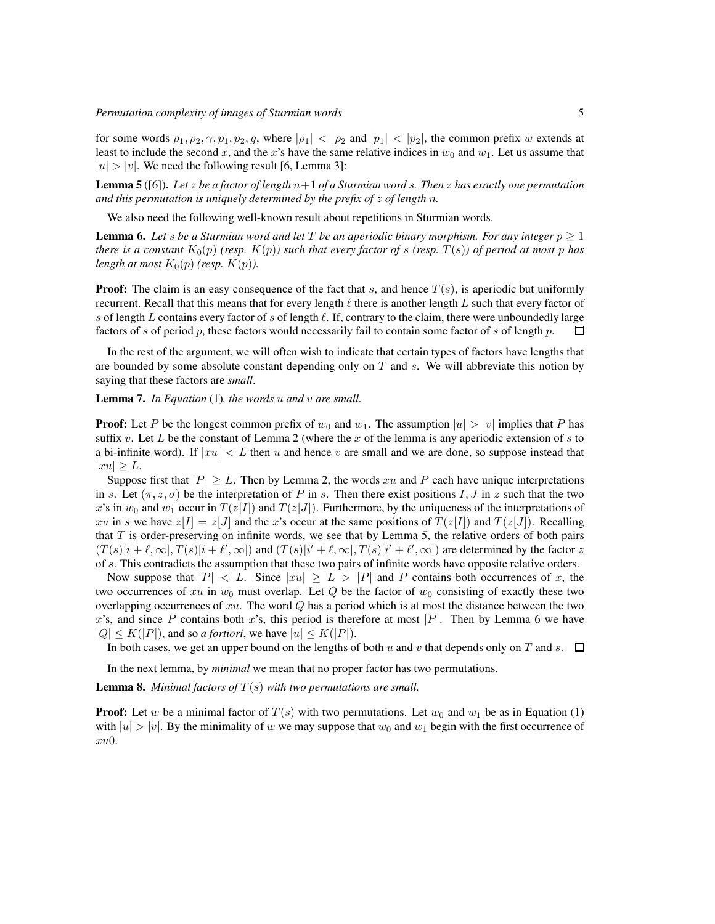for some words  $\rho_1, \rho_2, \gamma, p_1, p_2, g$ , where  $|\rho_1| < |\rho_2|$  and  $|p_1| < |p_2|$ , the common prefix w extends at least to include the second x, and the x's have the same relative indices in  $w_0$  and  $w_1$ . Let us assume that  $|u| > |v|$ . We need the following result [6, Lemma 3]:

Lemma 5 ([6]). *Let* z *be a factor of length* n+1 *of a Sturmian word* s*. Then* z *has exactly one permutation and this permutation is uniquely determined by the prefix of* z *of length* n*.*

We also need the following well-known result about repetitions in Sturmian words.

**Lemma 6.** Let s be a Sturmian word and let T be an aperiodic binary morphism. For any integer  $p \geq 1$ *there is a constant*  $K_0(p)$  *(resp.*  $K(p)$ *) such that every factor of s (resp.*  $T(s)$ *) of period at most p has length at most*  $K_0(p)$  *(resp.*  $K(p)$ *).* 

**Proof:** The claim is an easy consequence of the fact that s, and hence  $T(s)$ , is aperiodic but uniformly recurrent. Recall that this means that for every length  $\ell$  there is another length L such that every factor of s of length L contains every factor of s of length  $\ell$ . If, contrary to the claim, there were unboundedly large factors of s of period p, these factors would necessarily fail to contain some factor of s of length  $p$ .  $\Box$ 

In the rest of the argument, we will often wish to indicate that certain types of factors have lengths that are bounded by some absolute constant depending only on  $T$  and  $s$ . We will abbreviate this notion by saying that these factors are *small*.

#### Lemma 7. *In Equation* (1)*, the words* u *and* v *are small.*

**Proof:** Let P be the longest common prefix of  $w_0$  and  $w_1$ . The assumption  $|u| > |v|$  implies that P has suffix v. Let L be the constant of Lemma 2 (where the x of the lemma is any aperiodic extension of s to a bi-infinite word). If  $|xu| < L$  then u and hence v are small and we are done, so suppose instead that  $|xu| \geq L.$ 

Suppose first that  $|P| \geq L$ . Then by Lemma 2, the words xu and P each have unique interpretations in s. Let  $(\pi, z, \sigma)$  be the interpretation of P in s. Then there exist positions I, J in z such that the two x's in  $w_0$  and  $w_1$  occur in  $T(z[I])$  and  $T(z[J])$ . Furthermore, by the uniqueness of the interpretations of xu in s we have  $z[I] = z[J]$  and the x's occur at the same positions of  $T(z[I])$  and  $T(z[J])$ . Recalling that  $T$  is order-preserving on infinite words, we see that by Lemma 5, the relative orders of both pairs  $(T(s)[i+\ell,\infty],T(s)[i+\ell',\infty])$  and  $(T(s)[i'+\ell,\infty],T(s)[i'+\ell',\infty])$  are determined by the factor z of s. This contradicts the assumption that these two pairs of infinite words have opposite relative orders.

Now suppose that  $|P| < L$ . Since  $|xu| \ge L > |P|$  and P contains both occurrences of x, the two occurrences of xu in  $w_0$  must overlap. Let Q be the factor of  $w_0$  consisting of exactly these two overlapping occurrences of  $xu$ . The word  $Q$  has a period which is at most the distance between the two x's, and since P contains both x's, this period is therefore at most |P|. Then by Lemma 6 we have  $|Q| \le K(|P|)$ , and so *a fortiori*, we have  $|u| \le K(|P|)$ .

In both cases, we get an upper bound on the lengths of both u and v that depends only on T and s.  $\Box$ 

In the next lemma, by *minimal* we mean that no proper factor has two permutations.

**Lemma 8.** *Minimal factors of*  $T(s)$  *with two permutations are small.* 

**Proof:** Let w be a minimal factor of  $T(s)$  with two permutations. Let  $w_0$  and  $w_1$  be as in Equation (1) with  $|u| > |v|$ . By the minimality of w we may suppose that  $w_0$  and  $w_1$  begin with the first occurrence of xu0.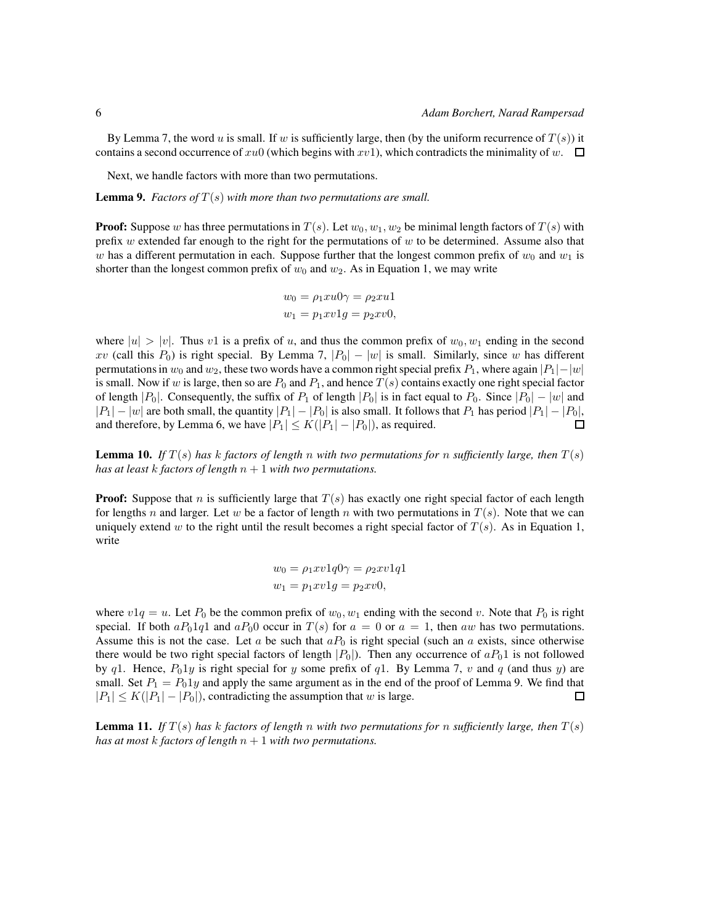By Lemma 7, the word u is small. If w is sufficiently large, then (by the uniform recurrence of  $T(s)$ ) it contains a second occurrence of xu0 (which begins with xv1), which contradicts the minimality of w.  $\square$ 

Next, we handle factors with more than two permutations.

**Lemma 9.** *Factors of*  $T(s)$  *with more than two permutations are small.* 

**Proof:** Suppose w has three permutations in  $T(s)$ . Let  $w_0, w_1, w_2$  be minimal length factors of  $T(s)$  with prefix w extended far enough to the right for the permutations of  $w$  to be determined. Assume also that w has a different permutation in each. Suppose further that the longest common prefix of  $w_0$  and  $w_1$  is shorter than the longest common prefix of  $w_0$  and  $w_2$ . As in Equation 1, we may write

$$
w_0 = \rho_1 x u 0 \gamma = \rho_2 x u 1
$$
  

$$
w_1 = p_1 x v 1 g = p_2 x v 0,
$$

where  $|u| > |v|$ . Thus v1 is a prefix of u, and thus the common prefix of  $w_0, w_1$  ending in the second xv (call this  $P_0$ ) is right special. By Lemma 7,  $|P_0| - |w|$  is small. Similarly, since w has different permutations in  $w_0$  and  $w_2$ , these two words have a common right special prefix  $P_1$ , where again  $|P_1| - |w|$ is small. Now if w is large, then so are  $P_0$  and  $P_1$ , and hence  $T(s)$  contains exactly one right special factor of length |P<sub>0</sub>|. Consequently, the suffix of P<sub>1</sub> of length |P<sub>0</sub>| is in fact equal to P<sub>0</sub>. Since  $|P_0| - |w|$  and  $|P_1| - |w|$  are both small, the quantity  $|P_1| - |P_0|$  is also small. It follows that  $P_1$  has period  $|P_1| - |P_0|$ , and therefore, by Lemma 6, we have  $|P_1| \le K(|P_1| - |P_0|)$ , as required.  $\Box$ 

**Lemma 10.** *If*  $T(s)$  *has k factors of length n with two permutations for n sufficiently large, then*  $T(s)$ *has at least*  $k$  *factors of length*  $n + 1$  *with two permutations.* 

**Proof:** Suppose that n is sufficiently large that  $T(s)$  has exactly one right special factor of each length for lengths n and larger. Let w be a factor of length n with two permutations in  $T(s)$ . Note that we can uniquely extend w to the right until the result becomes a right special factor of  $T(s)$ . As in Equation 1, write

$$
w_0 = \rho_1 x v 1 q 0 \gamma = \rho_2 x v 1 q 1
$$
  

$$
w_1 = p_1 x v 1 g = p_2 x v 0,
$$

where  $v1q = u$ . Let  $P_0$  be the common prefix of  $w_0, w_1$  ending with the second v. Note that  $P_0$  is right special. If both  $aP_01q1$  and  $aP_00$  occur in  $T(s)$  for  $a = 0$  or  $a = 1$ , then aw has two permutations. Assume this is not the case. Let a be such that  $aP_0$  is right special (such an a exists, since otherwise there would be two right special factors of length  $|P_0|$ ). Then any occurrence of  $aP_01$  is not followed by q1. Hence,  $P_01y$  is right special for y some prefix of q1. By Lemma 7, v and q (and thus y) are small. Set  $P_1 = P_0 1y$  and apply the same argument as in the end of the proof of Lemma 9. We find that  $|P_1| \le K(|P_1| - |P_0|)$ , contradicting the assumption that w is large. 口

**Lemma 11.** *If*  $T(s)$  *has* k *factors of length* n with two permutations for n sufficiently large, then  $T(s)$ *has at most* k *factors of length* n + 1 *with two permutations.*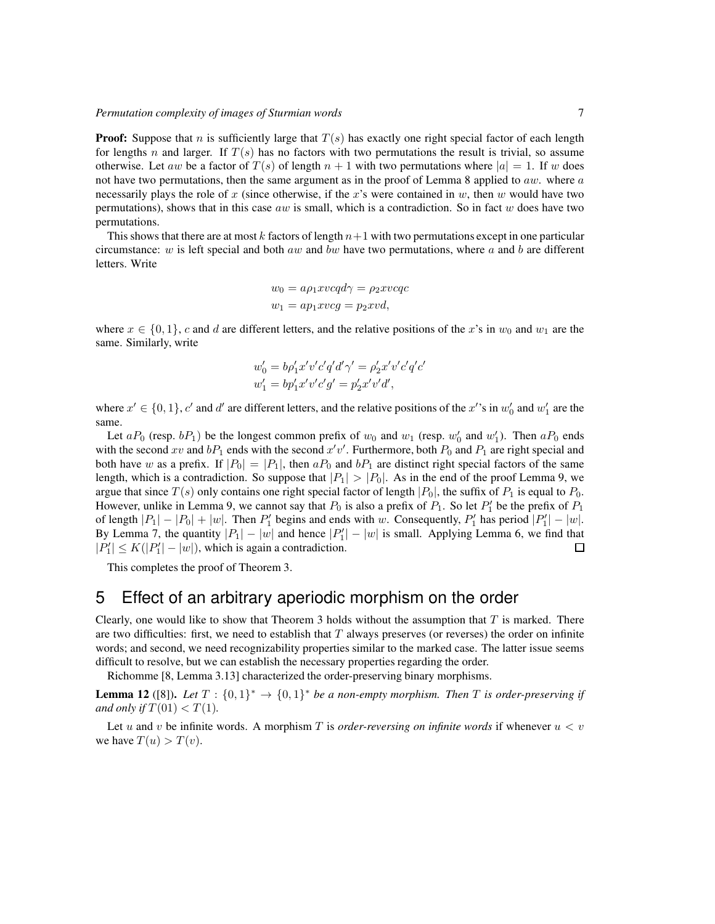#### *Permutation complexity of images of Sturmian words* 7

**Proof:** Suppose that n is sufficiently large that  $T(s)$  has exactly one right special factor of each length for lengths n and larger. If  $T(s)$  has no factors with two permutations the result is trivial, so assume otherwise. Let aw be a factor of  $T(s)$  of length  $n + 1$  with two permutations where  $|a| = 1$ . If w does not have two permutations, then the same argument as in the proof of Lemma 8 applied to  $aw$ . where  $a$ necessarily plays the role of x (since otherwise, if the x's were contained in  $w$ , then  $w$  would have two permutations), shows that in this case  $aw$  is small, which is a contradiction. So in fact w does have two permutations.

This shows that there are at most k factors of length  $n+1$  with two permutations except in one particular circumstance: w is left special and both aw and bw have two permutations, where a and b are different letters. Write

$$
w_0 = a\rho_1 x \nu c q d\gamma = \rho_2 x \nu c q c
$$
  

$$
w_1 = a p_1 x \nu c g = p_2 x \nu d,
$$

where  $x \in \{0, 1\}$ , c and d are different letters, and the relative positions of the x's in  $w_0$  and  $w_1$  are the same. Similarly, write

$$
w'_0 = b\rho'_1 x'v'c'q'd'\gamma' = \rho'_2 x'v'c'q'c'
$$
  

$$
w'_1 = b\rho'_1 x'v'c'g' = p'_2 x'v'd',
$$

where  $x' \in \{0, 1\}$ , c' and d' are different letters, and the relative positions of the x''s in  $w'_0$  and  $w'_1$  are the same.

Let  $aP_0$  (resp.  $bP_1$ ) be the longest common prefix of  $w_0$  and  $w_1$  (resp.  $w'_0$  and  $w'_1$ ). Then  $aP_0$  ends with the second xv and  $bP_1$  ends with the second x'v'. Furthermore, both  $P_0$  and  $P_1$  are right special and both have w as a prefix. If  $|P_0| = |P_1|$ , then  $aP_0$  and  $bP_1$  are distinct right special factors of the same length, which is a contradiction. So suppose that  $|P_1| > |P_0|$ . As in the end of the proof Lemma 9, we argue that since  $T(s)$  only contains one right special factor of length  $|P_0|$ , the suffix of  $P_1$  is equal to  $P_0$ . However, unlike in Lemma 9, we cannot say that  $P_0$  is also a prefix of  $P_1$ . So let  $P'_1$  be the prefix of  $P_1$ of length  $|P_1| - |P_0| + |w|$ . Then  $P'_1$  begins and ends with w. Consequently,  $P'_1$  has period  $|P'_1| - |w|$ . By Lemma 7, the quantity  $|P_1| - |w|$  and hence  $|P'_1| - |w|$  is small. Applying Lemma 6, we find that  $|P'_1| \le K(|P'_1| - |w|)$ , which is again a contradiction. □

This completes the proof of Theorem 3.

# 5 Effect of an arbitrary aperiodic morphism on the order

Clearly, one would like to show that Theorem 3 holds without the assumption that  $T$  is marked. There are two difficulties: first, we need to establish that  $T$  always preserves (or reverses) the order on infinite words; and second, we need recognizability properties similar to the marked case. The latter issue seems difficult to resolve, but we can establish the necessary properties regarding the order.

Richomme [8, Lemma 3.13] characterized the order-preserving binary morphisms.

**Lemma 12** ([8]). Let  $T : \{0,1\}^* \to \{0,1\}^*$  be a non-empty morphism. Then T is order-preserving if *and only if*  $T(01) < T(1)$ *.* 

Let u and v be infinite words. A morphism T is *order-reversing on infinite words* if whenever  $u < v$ we have  $T(u) > T(v)$ .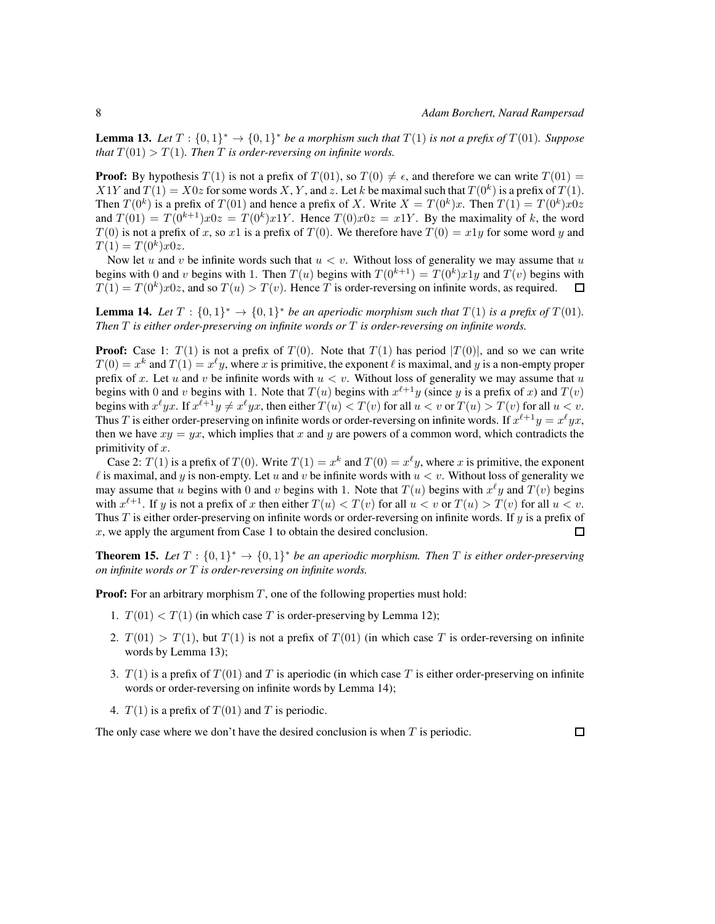**Lemma 13.** Let  $T : \{0,1\}^* \to \{0,1\}^*$  be a morphism such that  $T(1)$  is not a prefix of  $T(01)$ . Suppose *that*  $T(01) > T(1)$ *. Then T is order-reversing on infinite words.* 

**Proof:** By hypothesis  $T(1)$  is not a prefix of  $T(01)$ , so  $T(0) \neq \epsilon$ , and therefore we can write  $T(01) =$  $X1Y$  and  $T(1) = X0z$  for some words X, Y, and z. Let k be maximal such that  $T(0<sup>k</sup>)$  is a prefix of  $T(1)$ . Then  $T(0^k)$  is a prefix of  $T(01)$  and hence a prefix of X. Write  $X = T(0^k)x$ . Then  $T(1) = T(0^k)x0z$ and  $T(01) = T(0^{k+1})x0z = T(0^k)x1Y$ . Hence  $T(0)x0z = x1Y$ . By the maximality of k, the word  $T(0)$  is not a prefix of x, so x1 is a prefix of  $T(0)$ . We therefore have  $T(0) = x1y$  for some word y and  $T(1) = T(0^k)x0z.$ 

Now let u and v be infinite words such that  $u < v$ . Without loss of generality we may assume that u begins with 0 and v begins with 1. Then  $T(u)$  begins with  $T(0^{k+1}) = T(0^k)x^2$  and  $T(v)$  begins with  $T(1) = T(0<sup>k</sup>)x0z$ , and so  $T(u) > T(v)$ . Hence T is order-reversing on infinite words, as required. □

**Lemma 14.** Let  $T : \{0,1\}^* \to \{0,1\}^*$  be an aperiodic morphism such that  $T(1)$  is a prefix of  $T(01)$ . *Then* T *is either order-preserving on infinite words or* T *is order-reversing on infinite words.*

**Proof:** Case 1:  $T(1)$  is not a prefix of  $T(0)$ . Note that  $T(1)$  has period  $|T(0)|$ , and so we can write  $T(0) = x^k$  and  $T(1) = x^{\ell}y$ , where x is primitive, the exponent  $\ell$  is maximal, and y is a non-empty proper prefix of x. Let u and v be infinite words with  $u < v$ . Without loss of generality we may assume that u begins with 0 and v begins with 1. Note that  $T(u)$  begins with  $x^{\ell+1}y$  (since y is a prefix of x) and  $T(v)$ begins with  $x^{\ell}yx$ . If  $x^{\ell+1}y \neq x^{\ell}yx$ , then either  $T(u) < T(v)$  for all  $u < v$  or  $T(u) > T(v)$  for all  $u < v$ . Thus T is either order-preserving on infinite words or order-reversing on infinite words. If  $x^{\ell+1}y = x^\ell yx$ , then we have  $xy = yx$ , which implies that x and y are powers of a common word, which contradicts the primitivity of  $x$ .

Case 2:  $T(1)$  is a prefix of  $T(0)$ . Write  $T(1) = x^k$  and  $T(0) = x^{\ell}y$ , where x is primitive, the exponent  $\ell$  is maximal, and y is non-empty. Let u and v be infinite words with  $u < v$ . Without loss of generality we may assume that u begins with 0 and v begins with 1. Note that  $T(u)$  begins with  $x^{\ell}y$  and  $T(v)$  begins with  $x^{\ell+1}$ . If y is not a prefix of x then either  $T(u) < T(v)$  for all  $u < v$  or  $T(u) > T(v)$  for all  $u < v$ . Thus  $T$  is either order-preserving on infinite words or order-reversing on infinite words. If  $y$  is a prefix of  $x$ , we apply the argument from Case 1 to obtain the desired conclusion. П

**Theorem 15.** Let  $T : \{0,1\}^* \to \{0,1\}^*$  be an aperiodic morphism. Then T is either order-preserving *on infinite words or* T *is order-reversing on infinite words.*

**Proof:** For an arbitrary morphism  $T$ , one of the following properties must hold:

- 1.  $T(01) < T(1)$  (in which case T is order-preserving by Lemma 12);
- 2.  $T(01) > T(1)$ , but  $T(1)$  is not a prefix of  $T(01)$  (in which case T is order-reversing on infinite words by Lemma 13);
- 3.  $T(1)$  is a prefix of  $T(01)$  and T is aperiodic (in which case T is either order-preserving on infinite words or order-reversing on infinite words by Lemma 14);
- 4.  $T(1)$  is a prefix of  $T(01)$  and T is periodic.

The only case where we don't have the desired conclusion is when  $T$  is periodic.